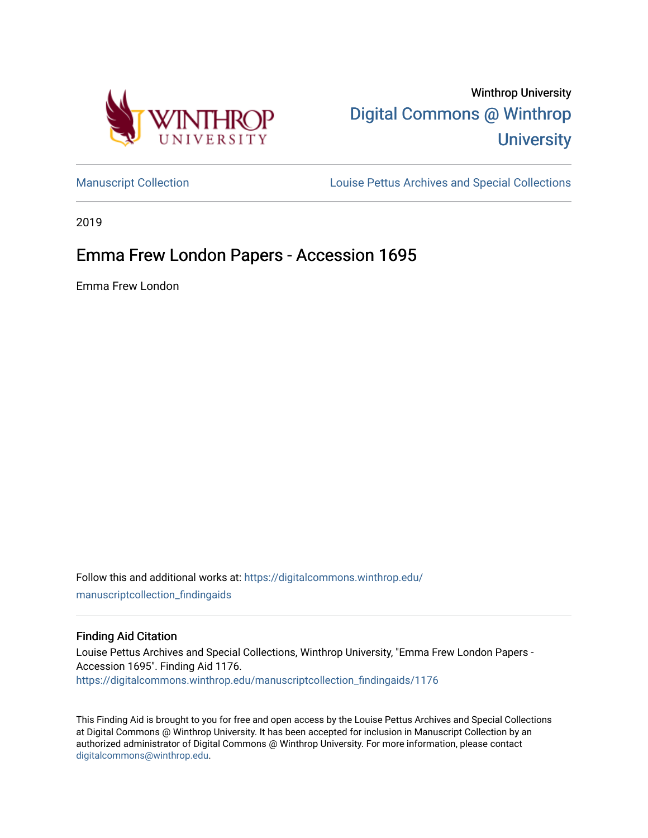

Winthrop University [Digital Commons @ Winthrop](https://digitalcommons.winthrop.edu/)  **University** 

[Manuscript Collection](https://digitalcommons.winthrop.edu/manuscriptcollection_findingaids) **Louise Pettus Archives and Special Collections** 

2019

# Emma Frew London Papers - Accession 1695

Emma Frew London

Follow this and additional works at: [https://digitalcommons.winthrop.edu/](https://digitalcommons.winthrop.edu/manuscriptcollection_findingaids?utm_source=digitalcommons.winthrop.edu%2Fmanuscriptcollection_findingaids%2F1176&utm_medium=PDF&utm_campaign=PDFCoverPages) [manuscriptcollection\\_findingaids](https://digitalcommons.winthrop.edu/manuscriptcollection_findingaids?utm_source=digitalcommons.winthrop.edu%2Fmanuscriptcollection_findingaids%2F1176&utm_medium=PDF&utm_campaign=PDFCoverPages) 

### Finding Aid Citation

Louise Pettus Archives and Special Collections, Winthrop University, "Emma Frew London Papers - Accession 1695". Finding Aid 1176. [https://digitalcommons.winthrop.edu/manuscriptcollection\\_findingaids/1176](https://digitalcommons.winthrop.edu/manuscriptcollection_findingaids/1176?utm_source=digitalcommons.winthrop.edu%2Fmanuscriptcollection_findingaids%2F1176&utm_medium=PDF&utm_campaign=PDFCoverPages) 

This Finding Aid is brought to you for free and open access by the Louise Pettus Archives and Special Collections at Digital Commons @ Winthrop University. It has been accepted for inclusion in Manuscript Collection by an authorized administrator of Digital Commons @ Winthrop University. For more information, please contact [digitalcommons@winthrop.edu](mailto:digitalcommons@winthrop.edu).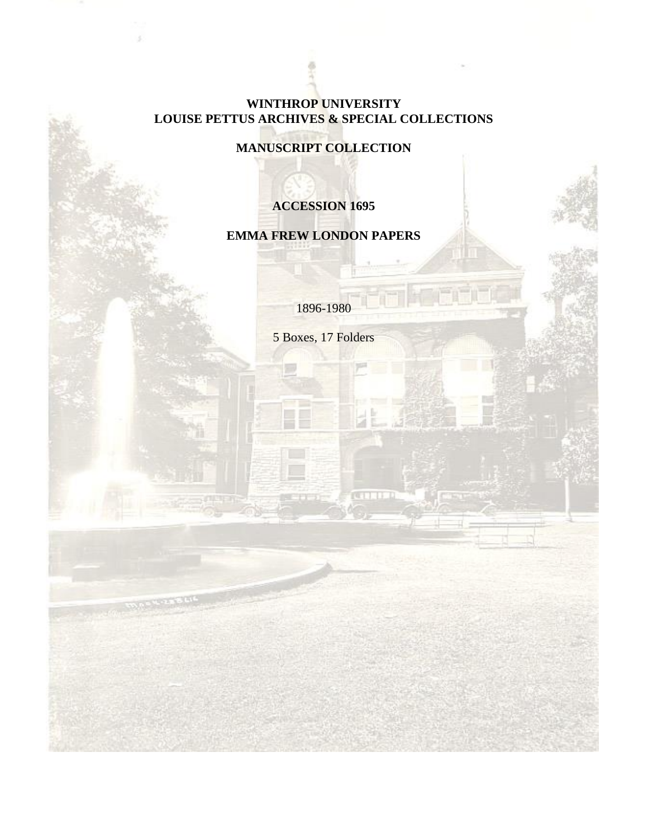# **WINTHROP UNIVERSITY LOUISE PETTUS ARCHIVES & SPECIAL COLLECTIONS**

**MANUSCRIPT COLLECTION**

# **ACCESSION 1695**

# **EMMA FREW LONDON PAPERS**

1896-1980

5 Boxes, 17 Folders

**COLL**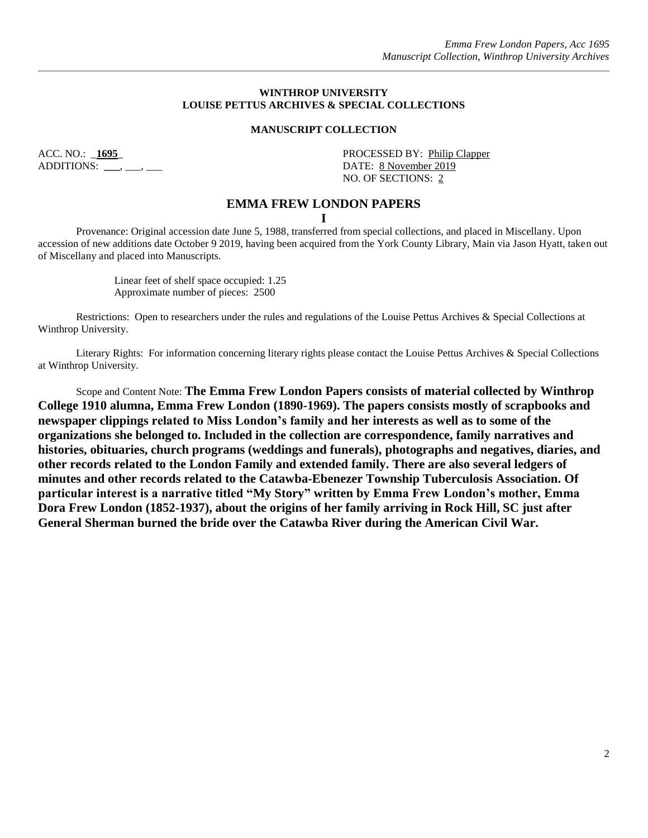#### **WINTHROP UNIVERSITY LOUISE PETTUS ARCHIVES & SPECIAL COLLECTIONS**

#### **MANUSCRIPT COLLECTION**

ADDITIONS: \_\_\_, \_\_\_, \_\_\_

ACC. NO.: **1695** PROCESSED BY: Philip Clapper NO. OF SECTIONS: 2

### **EMMA FREW LONDON PAPERS**

**I**

Provenance: Original accession date June 5, 1988, transferred from special collections, and placed in Miscellany. Upon accession of new additions date October 9 2019, having been acquired from the York County Library, Main via Jason Hyatt, taken out of Miscellany and placed into Manuscripts.

> Linear feet of shelf space occupied: 1.25 Approximate number of pieces: 2500

Restrictions: Open to researchers under the rules and regulations of the Louise Pettus Archives & Special Collections at Winthrop University.

Literary Rights: For information concerning literary rights please contact the Louise Pettus Archives & Special Collections at Winthrop University.

Scope and Content Note: **The Emma Frew London Papers consists of material collected by Winthrop College 1910 alumna, Emma Frew London (1890-1969). The papers consists mostly of scrapbooks and newspaper clippings related to Miss London's family and her interests as well as to some of the organizations she belonged to. Included in the collection are correspondence, family narratives and histories, obituaries, church programs (weddings and funerals), photographs and negatives, diaries, and other records related to the London Family and extended family. There are also several ledgers of minutes and other records related to the Catawba-Ebenezer Township Tuberculosis Association. Of particular interest is a narrative titled "My Story" written by Emma Frew London's mother, Emma Dora Frew London (1852-1937), about the origins of her family arriving in Rock Hill, SC just after General Sherman burned the bride over the Catawba River during the American Civil War.**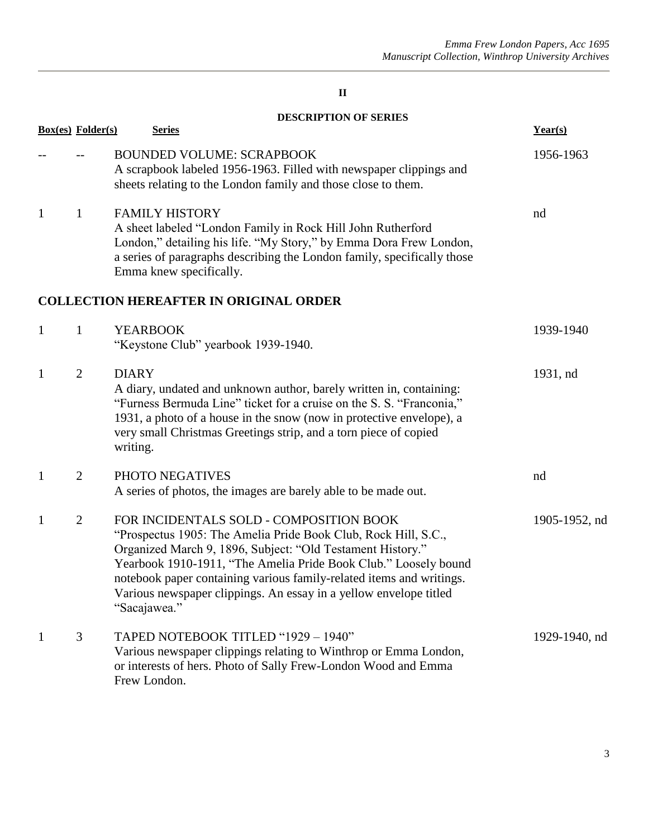|              |                          | <b>DESCRIPTION OF SERIES</b>                                                                                                                                                                                                                                                                                                                                                                            |               |
|--------------|--------------------------|---------------------------------------------------------------------------------------------------------------------------------------------------------------------------------------------------------------------------------------------------------------------------------------------------------------------------------------------------------------------------------------------------------|---------------|
|              | <b>Box(es)</b> Folder(s) | <b>Series</b>                                                                                                                                                                                                                                                                                                                                                                                           | Year(s)       |
|              |                          | <b>BOUNDED VOLUME: SCRAPBOOK</b><br>A scrapbook labeled 1956-1963. Filled with newspaper clippings and<br>sheets relating to the London family and those close to them.                                                                                                                                                                                                                                 | 1956-1963     |
| $\mathbf{1}$ | $\mathbf{1}$             | <b>FAMILY HISTORY</b><br>A sheet labeled "London Family in Rock Hill John Rutherford<br>London," detailing his life. "My Story," by Emma Dora Frew London,<br>a series of paragraphs describing the London family, specifically those<br>Emma knew specifically.                                                                                                                                        | nd            |
|              |                          | <b>COLLECTION HEREAFTER IN ORIGINAL ORDER</b>                                                                                                                                                                                                                                                                                                                                                           |               |
| $\mathbf{1}$ | $\mathbf{1}$             | <b>YEARBOOK</b><br>"Keystone Club" yearbook 1939-1940.                                                                                                                                                                                                                                                                                                                                                  | 1939-1940     |
| 1            | $\overline{2}$           | <b>DIARY</b><br>A diary, undated and unknown author, barely written in, containing:<br>"Furness Bermuda Line" ticket for a cruise on the S. S. "Franconia,"<br>1931, a photo of a house in the snow (now in protective envelope), a<br>very small Christmas Greetings strip, and a torn piece of copied<br>writing.                                                                                     | 1931, nd      |
| $\mathbf{1}$ | $\overline{2}$           | PHOTO NEGATIVES<br>A series of photos, the images are barely able to be made out.                                                                                                                                                                                                                                                                                                                       | nd            |
| 1            | $\overline{2}$           | FOR INCIDENTALS SOLD - COMPOSITION BOOK<br>"Prospectus 1905: The Amelia Pride Book Club, Rock Hill, S.C.,<br>Organized March 9, 1896, Subject: "Old Testament History."<br>Yearbook 1910-1911, "The Amelia Pride Book Club." Loosely bound<br>notebook paper containing various family-related items and writings.<br>Various newspaper clippings. An essay in a yellow envelope titled<br>"Sacajawea." | 1905-1952, nd |
| 1            | $\mathfrak{Z}$           | TAPED NOTEBOOK TITLED "1929 - 1940"<br>Various newspaper clippings relating to Winthrop or Emma London,<br>or interests of hers. Photo of Sally Frew-London Wood and Emma<br>Frew London.                                                                                                                                                                                                               | 1929-1940, nd |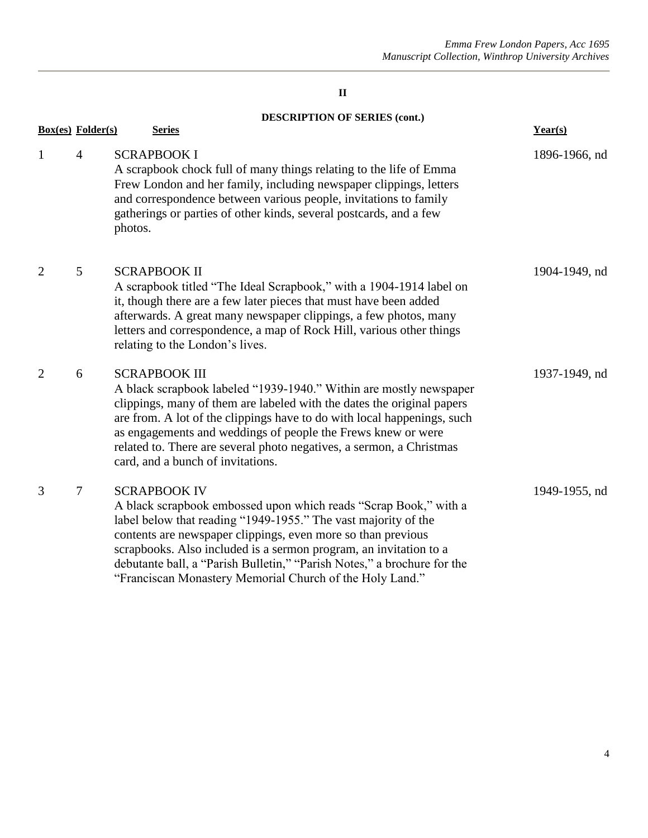## **DESCRIPTION OF SERIES (cont.)**

|                | <b>Box(es)</b> Folder(s) | <b>Series</b>                                                                                                                                                                                                                                                                                                                                                                                                                         | Year(s)       |
|----------------|--------------------------|---------------------------------------------------------------------------------------------------------------------------------------------------------------------------------------------------------------------------------------------------------------------------------------------------------------------------------------------------------------------------------------------------------------------------------------|---------------|
| $\mathbf{1}$   | $\overline{4}$           | <b>SCRAPBOOK I</b><br>A scrapbook chock full of many things relating to the life of Emma<br>Frew London and her family, including newspaper clippings, letters<br>and correspondence between various people, invitations to family<br>gatherings or parties of other kinds, several postcards, and a few<br>photos.                                                                                                                   | 1896-1966, nd |
| $\overline{2}$ | 5                        | <b>SCRAPBOOK II</b><br>A scrapbook titled "The Ideal Scrapbook," with a 1904-1914 label on<br>it, though there are a few later pieces that must have been added<br>afterwards. A great many newspaper clippings, a few photos, many<br>letters and correspondence, a map of Rock Hill, various other things<br>relating to the London's lives.                                                                                        | 1904-1949, nd |
| $\overline{2}$ | 6                        | <b>SCRAPBOOK III</b><br>A black scrapbook labeled "1939-1940." Within are mostly newspaper<br>clippings, many of them are labeled with the dates the original papers<br>are from. A lot of the clippings have to do with local happenings, such<br>as engagements and weddings of people the Frews knew or were<br>related to. There are several photo negatives, a sermon, a Christmas<br>card, and a bunch of invitations.          | 1937-1949, nd |
| 3              | 7                        | <b>SCRAPBOOK IV</b><br>A black scrapbook embossed upon which reads "Scrap Book," with a<br>label below that reading "1949-1955." The vast majority of the<br>contents are newspaper clippings, even more so than previous<br>scrapbooks. Also included is a sermon program, an invitation to a<br>debutante ball, a "Parish Bulletin," "Parish Notes," a brochure for the<br>"Franciscan Monastery Memorial Church of the Holy Land." | 1949-1955, nd |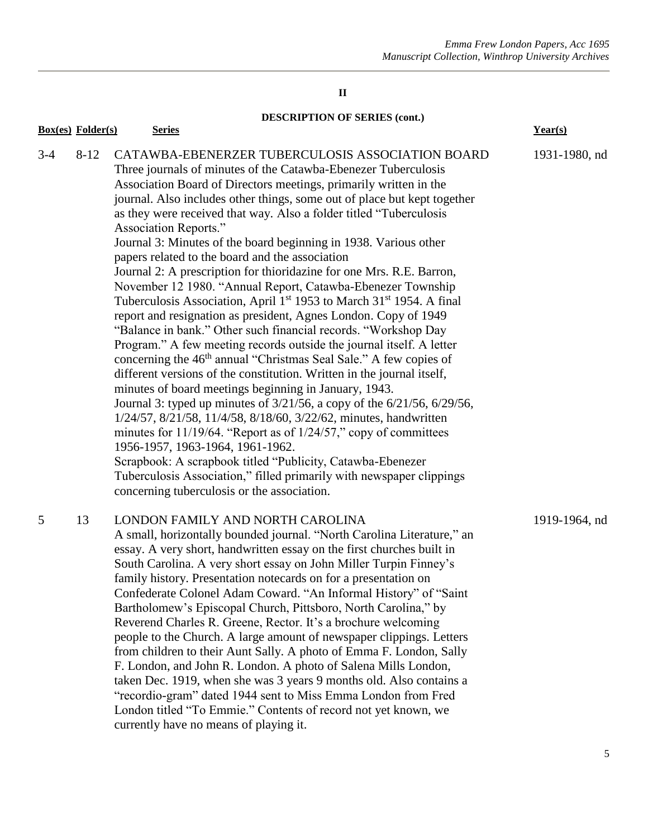# **DESCRIPTION OF SERIES (cont.)**

|       | <b>Box(es)</b> Folder(s) | <b>Series</b>                                                                                                                                                                                                                                                                                                                                                                                                                                                                                                                                                                                                                                                                                                                                                                                                                                                                                                                                                                                                                                                                                                                                                                                                                                                                                                                                                                                                                                                                                                                                                                                                  | Year(s)       |
|-------|--------------------------|----------------------------------------------------------------------------------------------------------------------------------------------------------------------------------------------------------------------------------------------------------------------------------------------------------------------------------------------------------------------------------------------------------------------------------------------------------------------------------------------------------------------------------------------------------------------------------------------------------------------------------------------------------------------------------------------------------------------------------------------------------------------------------------------------------------------------------------------------------------------------------------------------------------------------------------------------------------------------------------------------------------------------------------------------------------------------------------------------------------------------------------------------------------------------------------------------------------------------------------------------------------------------------------------------------------------------------------------------------------------------------------------------------------------------------------------------------------------------------------------------------------------------------------------------------------------------------------------------------------|---------------|
| $3-4$ | $8 - 12$                 | CATAWBA-EBENERZER TUBERCULOSIS ASSOCIATION BOARD<br>Three journals of minutes of the Catawba-Ebenezer Tuberculosis<br>Association Board of Directors meetings, primarily written in the<br>journal. Also includes other things, some out of place but kept together<br>as they were received that way. Also a folder titled "Tuberculosis<br>Association Reports."<br>Journal 3: Minutes of the board beginning in 1938. Various other<br>papers related to the board and the association<br>Journal 2: A prescription for thioridazine for one Mrs. R.E. Barron,<br>November 12 1980. "Annual Report, Catawba-Ebenezer Township<br>Tuberculosis Association, April 1 <sup>st</sup> 1953 to March 31 <sup>st</sup> 1954. A final<br>report and resignation as president, Agnes London. Copy of 1949<br>"Balance in bank." Other such financial records. "Workshop Day<br>Program." A few meeting records outside the journal itself. A letter<br>concerning the 46 <sup>th</sup> annual "Christmas Seal Sale." A few copies of<br>different versions of the constitution. Written in the journal itself,<br>minutes of board meetings beginning in January, 1943.<br>Journal 3: typed up minutes of 3/21/56, a copy of the 6/21/56, 6/29/56,<br>1/24/57, 8/21/58, 11/4/58, 8/18/60, 3/22/62, minutes, handwritten<br>minutes for 11/19/64. "Report as of 1/24/57," copy of committees<br>1956-1957, 1963-1964, 1961-1962.<br>Scrapbook: A scrapbook titled "Publicity, Catawba-Ebenezer<br>Tuberculosis Association," filled primarily with newspaper clippings<br>concerning tuberculosis or the association. | 1931-1980, nd |
| 5     | 13                       | LONDON FAMILY AND NORTH CAROLINA<br>A small, horizontally bounded journal. "North Carolina Literature," an<br>essay. A very short, handwritten essay on the first churches built in<br>South Carolina. A very short essay on John Miller Turpin Finney's<br>family history. Presentation notecards on for a presentation on<br>Confederate Colonel Adam Coward. "An Informal History" of "Saint<br>Bartholomew's Episcopal Church, Pittsboro, North Carolina," by<br>Reverend Charles R. Greene, Rector. It's a brochure welcoming<br>people to the Church. A large amount of newspaper clippings. Letters<br>from children to their Aunt Sally. A photo of Emma F. London, Sally<br>F. London, and John R. London. A photo of Salena Mills London,<br>taken Dec. 1919, when she was 3 years 9 months old. Also contains a<br>"recordio-gram" dated 1944 sent to Miss Emma London from Fred<br>London titled "To Emmie." Contents of record not yet known, we<br>currently have no means of playing it.                                                                                                                                                                                                                                                                                                                                                                                                                                                                                                                                                                                                        | 1919-1964, nd |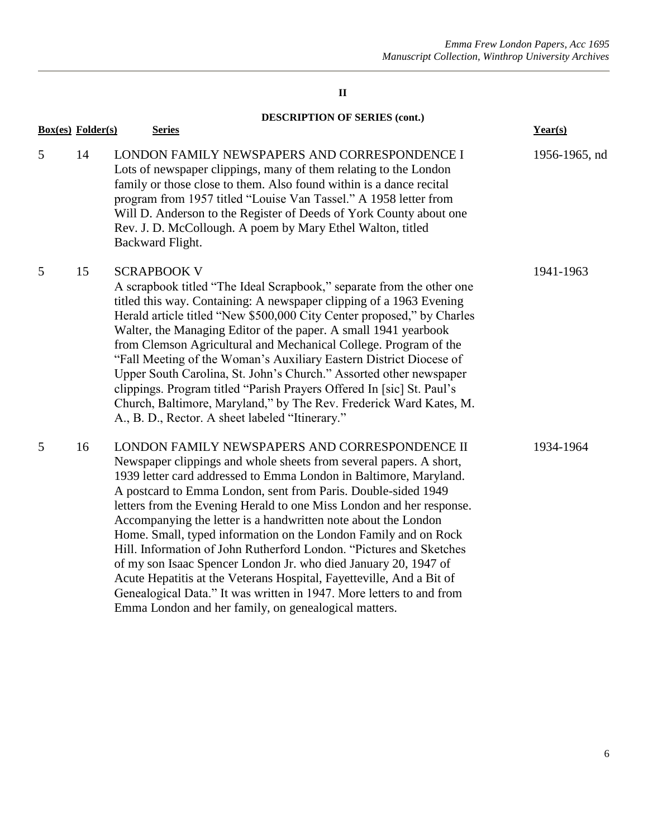**DESCRIPTION OF SERIES (cont.)**

|   | <b>Box(es)</b> Folder(s) | <b>Series</b>                                                                                                                                                                                                                                                                                                                                                                                                                                                                                                                                                                                                                                                                                                                                                                                                             | Year(s)       |
|---|--------------------------|---------------------------------------------------------------------------------------------------------------------------------------------------------------------------------------------------------------------------------------------------------------------------------------------------------------------------------------------------------------------------------------------------------------------------------------------------------------------------------------------------------------------------------------------------------------------------------------------------------------------------------------------------------------------------------------------------------------------------------------------------------------------------------------------------------------------------|---------------|
| 5 | 14                       | LONDON FAMILY NEWSPAPERS AND CORRESPONDENCE I<br>Lots of newspaper clippings, many of them relating to the London<br>family or those close to them. Also found within is a dance recital<br>program from 1957 titled "Louise Van Tassel." A 1958 letter from<br>Will D. Anderson to the Register of Deeds of York County about one<br>Rev. J. D. McCollough. A poem by Mary Ethel Walton, titled<br>Backward Flight.                                                                                                                                                                                                                                                                                                                                                                                                      | 1956-1965, nd |
| 5 | 15                       | <b>SCRAPBOOK V</b><br>A scrapbook titled "The Ideal Scrapbook," separate from the other one<br>titled this way. Containing: A newspaper clipping of a 1963 Evening<br>Herald article titled "New \$500,000 City Center proposed," by Charles<br>Walter, the Managing Editor of the paper. A small 1941 yearbook<br>from Clemson Agricultural and Mechanical College. Program of the<br>"Fall Meeting of the Woman's Auxiliary Eastern District Diocese of<br>Upper South Carolina, St. John's Church." Assorted other newspaper<br>clippings. Program titled "Parish Prayers Offered In [sic] St. Paul's<br>Church, Baltimore, Maryland," by The Rev. Frederick Ward Kates, M.<br>A., B. D., Rector. A sheet labeled "Itinerary."                                                                                         | 1941-1963     |
| 5 | 16                       | LONDON FAMILY NEWSPAPERS AND CORRESPONDENCE II<br>Newspaper clippings and whole sheets from several papers. A short,<br>1939 letter card addressed to Emma London in Baltimore, Maryland.<br>A postcard to Emma London, sent from Paris. Double-sided 1949<br>letters from the Evening Herald to one Miss London and her response.<br>Accompanying the letter is a handwritten note about the London<br>Home. Small, typed information on the London Family and on Rock<br>Hill. Information of John Rutherford London. "Pictures and Sketches<br>of my son Isaac Spencer London Jr. who died January 20, 1947 of<br>Acute Hepatitis at the Veterans Hospital, Fayetteville, And a Bit of<br>Genealogical Data." It was written in 1947. More letters to and from<br>Emma London and her family, on genealogical matters. | 1934-1964     |